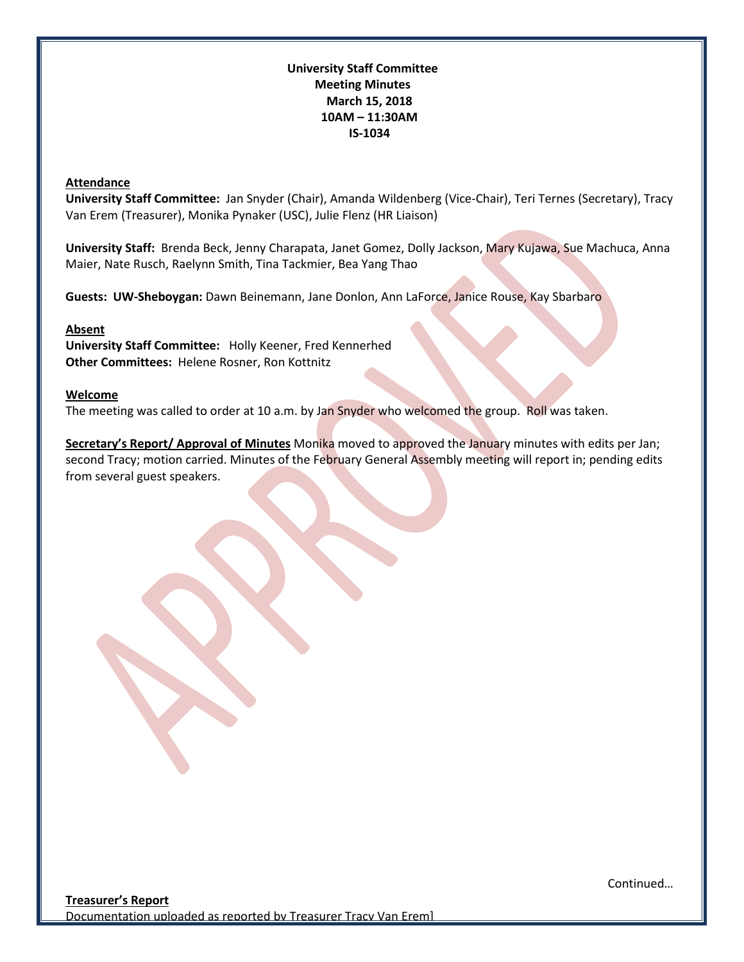## **University Staff Committee Meeting Minutes March 15, 2018 10AM – 11:30AM IS-1034**

#### **Attendance**

**University Staff Committee:** Jan Snyder (Chair), Amanda Wildenberg (Vice-Chair), Teri Ternes (Secretary), Tracy Van Erem (Treasurer), Monika Pynaker (USC), Julie Flenz (HR Liaison)

**University Staff:** Brenda Beck, Jenny Charapata, Janet Gomez, Dolly Jackson, Mary Kujawa, Sue Machuca, Anna Maier, Nate Rusch, Raelynn Smith, Tina Tackmier, Bea Yang Thao

**Guests: UW-Sheboygan:** Dawn Beinemann, Jane Donlon, Ann LaForce, Janice Rouse, Kay Sbarbaro

#### **Absent**

**University Staff Committee:** Holly Keener, Fred Kennerhed **Other Committees:** Helene Rosner, Ron Kottnitz

#### **Welcome**

The meeting was called to order at 10 a.m. by Jan Snyder who welcomed the group. Roll was taken.

**Secretary's Report/ Approval of Minutes** Monika moved to approved the January minutes with edits per Jan; second Tracy; motion carried. Minutes of the February General Assembly meeting will report in; pending edits from several guest speakers.

Continued…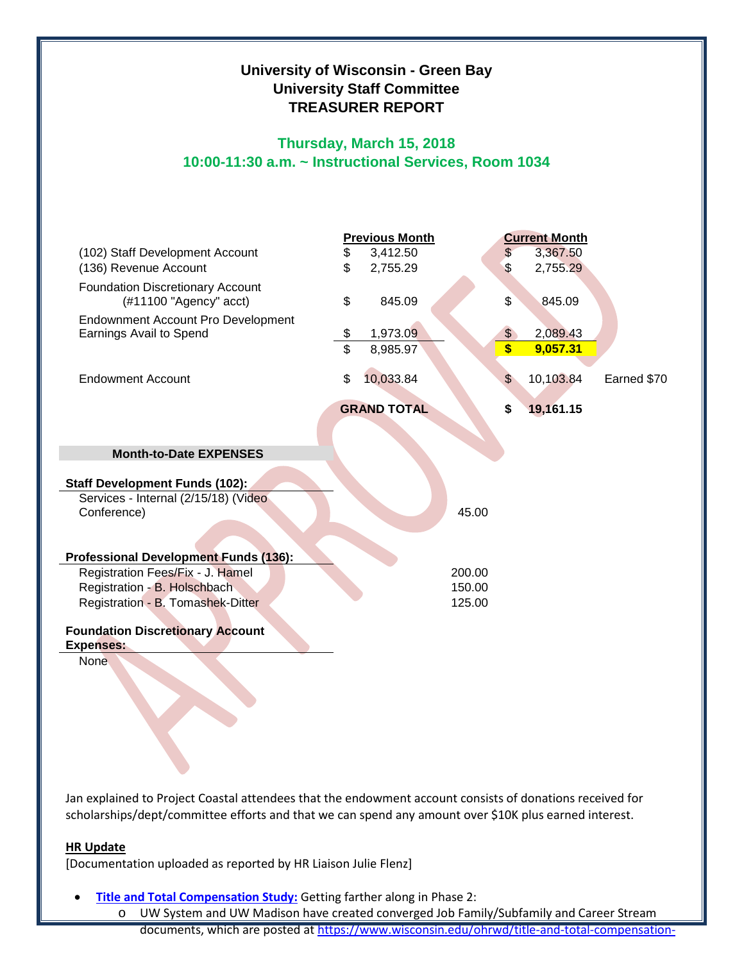# **University of Wisconsin - Green Bay University Staff Committee TREASURER REPORT**

## **Thursday, March 15, 2018 10:00-11:30 a.m. ~ Instructional Services, Room 1034**



Jan explained to Project Coastal attendees that the endowment account consists of donations received for scholarships/dept/committee efforts and that we can spend any amount over \$10K plus earned interest.

## **HR Update**

[Documentation uploaded as reported by HR Liaison Julie Flenz]

• **[Title and Total Compensation Study:](https://www.wisconsin.edu/ohrwd/title-and-total-compensation-study/)** Getting farther along in Phase 2:

o UW System and UW Madison have created converged Job Family/Subfamily and Career Stream documents, which are posted at [https://www.wisconsin.edu/ohrwd/title-and-total-compensation-](https://www.wisconsin.edu/ohrwd/title-and-total-compensation-study/job-framework/)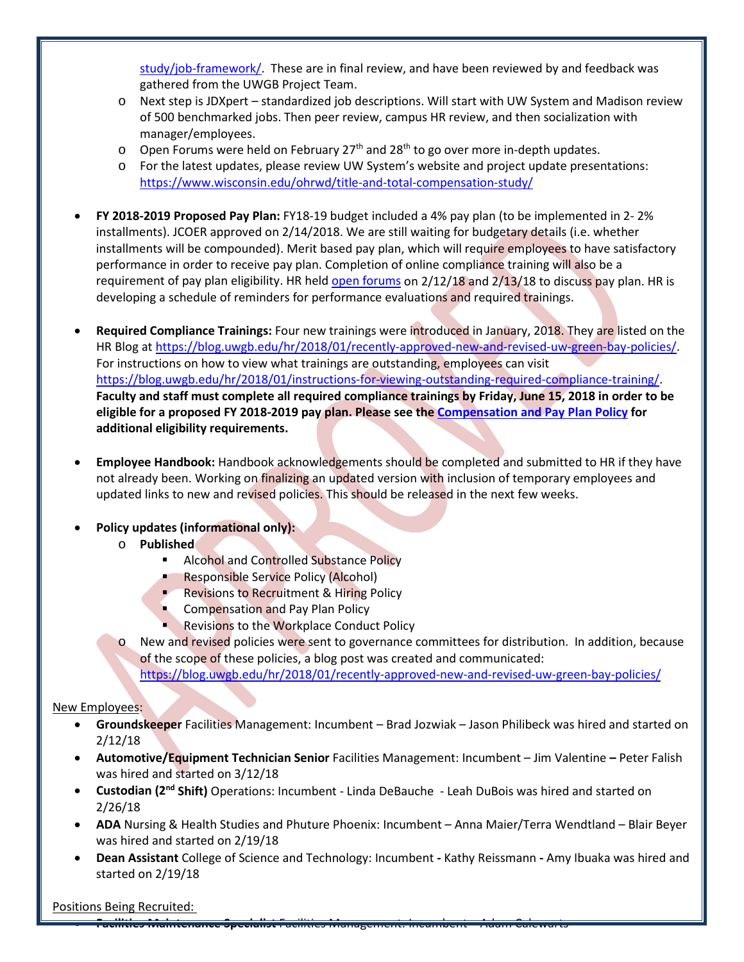[study/job-framework/.](https://www.wisconsin.edu/ohrwd/title-and-total-compensation-study/job-framework/) These are in final review, and have been reviewed by and feedback was gathered from the UWGB Project Team.

- o Next step is JDXpert standardized job descriptions. Will start with UW System and Madison review of 500 benchmarked jobs. Then peer review, campus HR review, and then socialization with manager/employees.
- $\circ$  Open Forums were held on February 27<sup>th</sup> and 28<sup>th</sup> to go over more in-depth updates.
- o For the latest updates, please review UW System's website and project update presentations: <https://www.wisconsin.edu/ohrwd/title-and-total-compensation-study/>
- **FY 2018-2019 Proposed Pay Plan:** FY18-19 budget included a 4% pay plan (to be implemented in 2- 2% installments). JCOER approved on 2/14/2018. We are still waiting for budgetary details (i.e. whether installments will be compounded). Merit based pay plan, which will require employees to have satisfactory performance in order to receive pay plan. Completion of online compliance training will also be a requirement of pay plan eligibility. HR held [open forums](http://www.uwgb.edu/UWGBCMS/media/hr/Pay-Plan-Guidelines-UWGB_2018-02-15.pdf) on 2/12/18 and 2/13/18 to discuss pay plan. HR is developing a schedule of reminders for performance evaluations and required trainings.
- **Required Compliance Trainings:** Four new trainings were introduced in January, 2018. They are listed on the HR Blog at [https://blog.uwgb.edu/hr/2018/01/recently-approved-new-and-revised-uw-green-bay-policies/.](https://blog.uwgb.edu/hr/2018/01/recently-approved-new-and-revised-uw-green-bay-policies/) For instructions on how to view what trainings are outstanding, employees can visit [https://blog.uwgb.edu/hr/2018/01/instructions-for-viewing-outstanding-required-compliance-training/.](https://blog.uwgb.edu/hr/2018/01/instructions-for-viewing-outstanding-required-compliance-training/) **Faculty and staff must complete all required compliance trainings by Friday, June 15, 2018 in order to be eligible for a proposed FY 2018-2019 pay plan. Please see the [Compensation and Pay Plan Policy](http://www.uwgb.edu/UWGBCMS/media/policies/files/Comp-and-Pay-Plan-Policy-Final.pdf?ext=.pdf) for additional eligibility requirements.**
- **Employee Handbook:** Handbook acknowledgements should be completed and submitted to HR if they have not already been. Working on finalizing an updated version with inclusion of temporary employees and updated links to new and revised policies. This should be released in the next few weeks.

## • **Policy updates (informational only):**

- o **Published**
	- Alcohol and Controlled Substance Policy
	- Responsible Service Policy (Alcohol)
	- **Revisions to Recruitment & Hiring Policy**
	- **Compensation and Pay Plan Policy**
	- Revisions to the Workplace Conduct Policy
- New and revised policies were sent to governance committees for distribution. In addition, because of the scope of these policies, a blog post was created and communicated: <https://blog.uwgb.edu/hr/2018/01/recently-approved-new-and-revised-uw-green-bay-policies/>

## New Employees:

- **Groundskeeper** Facilities Management: Incumbent Brad Jozwiak Jason Philibeck was hired and started on 2/12/18
- **Automotive/Equipment Technician Senior** Facilities Management: Incumbent Jim Valentine **–** Peter Falish was hired and started on 3/12/18
- **Custodian (2nd Shift)** Operations: Incumbent Linda DeBauche Leah DuBois was hired and started on 2/26/18
- **ADA** Nursing & Health Studies and Phuture Phoenix: Incumbent Anna Maier/Terra Wendtland Blair Beyer was hired and started on 2/19/18
- **Dean Assistant** College of Science and Technology: Incumbent **-** Kathy Reissmann **-** Amy Ibuaka was hired and started on 2/19/18

## Positions Being Recruited:

• **Facilities Maintenance Specialist** Facilities Management: Incumbent – Adam Calewarts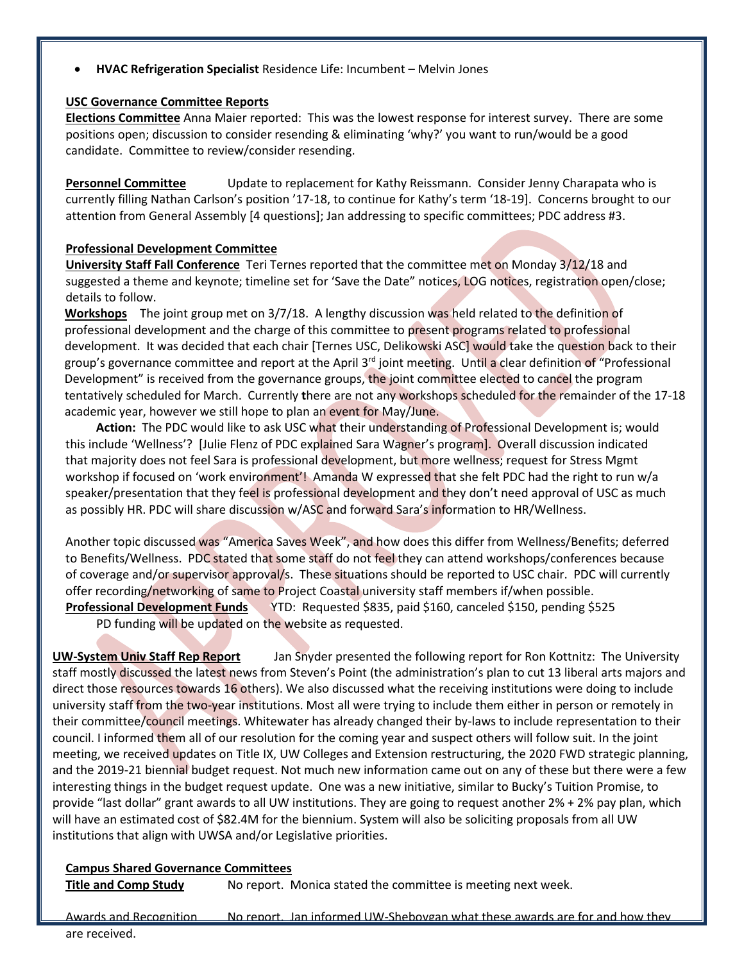• **HVAC Refrigeration Specialist** Residence Life: Incumbent – Melvin Jones

#### **USC Governance Committee Reports**

**Elections Committee** Anna Maier reported: This was the lowest response for interest survey. There are some positions open; discussion to consider resending & eliminating 'why?' you want to run/would be a good candidate. Committee to review/consider resending.

**Personnel Committee** Update to replacement for Kathy Reissmann. Consider Jenny Charapata who is currently filling Nathan Carlson's position '17-18, to continue for Kathy's term '18-19]. Concerns brought to our attention from General Assembly [4 questions]; Jan addressing to specific committees; PDC address #3.

#### **Professional Development Committee**

**University Staff Fall Conference** Teri Ternes reported that the committee met on Monday 3/12/18 and suggested a theme and keynote; timeline set for 'Save the Date" notices, LOG notices, registration open/close; details to follow.

**Workshops** The joint group met on 3/7/18. A lengthy discussion was held related to the definition of professional development and the charge of this committee to present programs related to professional development. It was decided that each chair [Ternes USC, Delikowski ASC] would take the question back to their group's governance committee and report at the April 3<sup>rd</sup> joint meeting. Until a clear definition of "Professional Development" is received from the governance groups, the joint committee elected to cancel the program tentatively scheduled for March. Currently **t**here are not any workshops scheduled for the remainder of the 17-18 academic year, however we still hope to plan an event for May/June.

**Action:** The PDC would like to ask USC what their understanding of Professional Development is; would this include 'Wellness'? [Julie Flenz of PDC explained Sara Wagner's program]. Overall discussion indicated that majority does not feel Sara is professional development, but more wellness; request for Stress Mgmt workshop if focused on 'work environment'! Amanda W expressed that she felt PDC had the right to run w/a speaker/presentation that they feel is professional development and they don't need approval of USC as much as possibly HR. PDC will share discussion w/ASC and forward Sara's information to HR/Wellness.

Another topic discussed was "America Saves Week", and how does this differ from Wellness/Benefits; deferred to Benefits/Wellness. PDC stated that some staff do not feel they can attend workshops/conferences because of coverage and/or supervisor approval/s. These situations should be reported to USC chair. PDC will currently offer recording/networking of same to Project Coastal university staff members if/when possible. **Professional Development Funds** YTD: Requested \$835, paid \$160, canceled \$150, pending \$525

PD funding will be updated on the website as requested.

**UW-System Univ Staff Rep Report** Jan Snyder presented the following report for Ron Kottnitz: The University staff mostly discussed the latest news from Steven's Point (the administration's plan to cut 13 liberal arts majors and direct those resources towards 16 others). We also discussed what the receiving institutions were doing to include university staff from the two-year institutions. Most all were trying to include them either in person or remotely in their committee/council meetings. Whitewater has already changed their by-laws to include representation to their council. I informed them all of our resolution for the coming year and suspect others will follow suit. In the joint meeting, we received updates on Title IX, UW Colleges and Extension restructuring, the 2020 FWD strategic planning, and the 2019-21 biennial budget request. Not much new information came out on any of these but there were a few interesting things in the budget request update. One was a new initiative, similar to Bucky's Tuition Promise, to provide "last dollar" grant awards to all UW institutions. They are going to request another 2% + 2% pay plan, which will have an estimated cost of \$82.4M for the biennium. System will also be soliciting proposals from all UW institutions that align with UWSA and/or Legislative priorities.

#### **Campus Shared Governance Committees**

**Title and Comp Study** No report. Monica stated the committee is meeting next week.

Awards and Recognition No report. Jan informed UW-Sheboygan what these awards are for and how they are received.